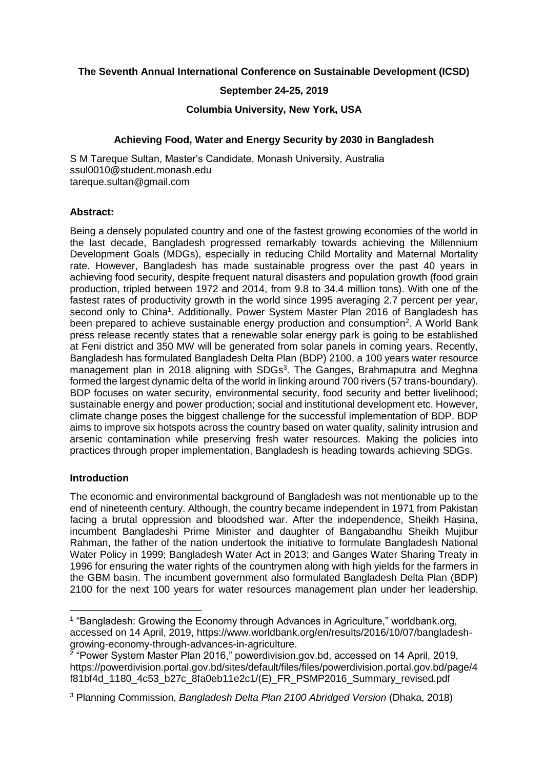## **The Seventh Annual International Conference on Sustainable Development (ICSD)**

## **September 24-25, 2019**

#### **Columbia University, New York, USA**

### **Achieving Food, Water and Energy Security by 2030 in Bangladesh**

S M Tareque Sultan, Master's Candidate, Monash University, Australia [ssul0010@student.monash.edu](mailto:ssul0010@student.monash.edu) [tareque.sultan@gmail.com](mailto:tareque.sultan@gmail.com)

#### **Abstract:**

Being a densely populated country and one of the fastest growing economies of the world in the last decade, Bangladesh progressed remarkably towards achieving the Millennium Development Goals (MDGs), especially in reducing Child Mortality and Maternal Mortality rate. However, Bangladesh has made sustainable progress over the past 40 years in achieving food security, despite frequent natural disasters and population growth (food grain production, tripled between 1972 and 2014, from 9.8 to 34.4 million tons). With one of the fastest rates of productivity growth in the world since 1995 averaging 2.7 percent per year, second only to China<sup>1</sup>. Additionally, Power System Master Plan 2016 of Bangladesh has been prepared to achieve sustainable energy production and consumption<sup>2</sup>. A World Bank press release recently states that a renewable solar energy park is going to be established at Feni district and 350 MW will be generated from solar panels in coming years. Recently, Bangladesh has formulated Bangladesh Delta Plan (BDP) 2100, a 100 years water resource management plan in 2018 aligning with SDGs<sup>3</sup>. The Ganges, Brahmaputra and Meghna formed the largest dynamic delta of the world in linking around 700 rivers (57 trans-boundary). BDP focuses on water security, environmental security, food security and better livelihood; sustainable energy and power production; social and institutional development etc. However, climate change poses the biggest challenge for the successful implementation of BDP. BDP aims to improve six hotspots across the country based on water quality, salinity intrusion and arsenic contamination while preserving fresh water resources. Making the policies into practices through proper implementation, Bangladesh is heading towards achieving SDGs.

### **Introduction**

 $\overline{\phantom{a}}$ 

The economic and environmental background of Bangladesh was not mentionable up to the end of nineteenth century. Although, the country became independent in 1971 from Pakistan facing a brutal oppression and bloodshed war. After the independence, Sheikh Hasina, incumbent Bangladeshi Prime Minister and daughter of Bangabandhu Sheikh Mujibur Rahman, the father of the nation undertook the initiative to formulate Bangladesh National Water Policy in 1999; Bangladesh Water Act in 2013; and Ganges Water Sharing Treaty in 1996 for ensuring the water rights of the countrymen along with high yields for the farmers in the GBM basin. The incumbent government also formulated Bangladesh Delta Plan (BDP) 2100 for the next 100 years for water resources management plan under her leadership.

<sup>&</sup>lt;sup>1</sup> "Bangladesh: Growing the Economy through Advances in Agriculture," worldbank.org, accessed on 14 April, 2019, https://www.worldbank.org/en/results/2016/10/07/bangladeshgrowing-economy-through-advances-in-agriculture.

<sup>&</sup>lt;sup>2</sup> "Power System Master Plan 2016," powerdivision.gov.bd, accessed on 14 April, 2019, [https://powerdivision.portal.gov.bd/sites/default/files/files/powerdivision.portal.gov.bd/page/4](https://powerdivision.portal.gov.bd/sites/default/files/files/powerdivision.portal.gov.bd/page/4f81bf4d_1180_4c53_b27c_8fa0eb11e2c1/(E)_FR_PSMP2016_Summary_revised.pdf) [f81bf4d\\_1180\\_4c53\\_b27c\\_8fa0eb11e2c1/\(E\)\\_FR\\_PSMP2016\\_Summary\\_revised.pdf](https://powerdivision.portal.gov.bd/sites/default/files/files/powerdivision.portal.gov.bd/page/4f81bf4d_1180_4c53_b27c_8fa0eb11e2c1/(E)_FR_PSMP2016_Summary_revised.pdf)

<sup>3</sup> Planning Commission, *Bangladesh Delta Plan 2100 Abridged Version* (Dhaka, 2018)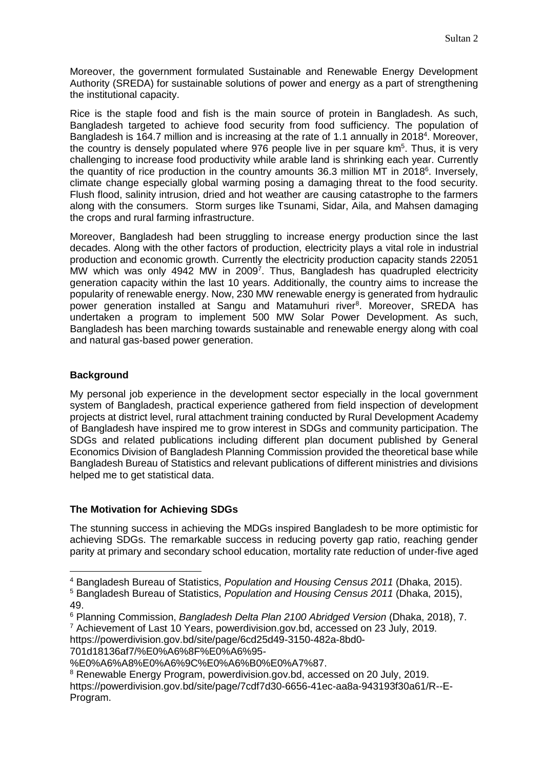Moreover, the government formulated Sustainable and Renewable Energy Development Authority (SREDA) for sustainable solutions of power and energy as a part of strengthening the institutional capacity.

Rice is the staple food and fish is the main source of protein in Bangladesh. As such, Bangladesh targeted to achieve food security from food sufficiency. The population of Bangladesh is 164.7 million and is increasing at the rate of 1.1 annually in 2018<sup>4</sup>. Moreover, the country is densely populated where 976 people live in per square km<sup>5</sup>. Thus, it is very challenging to increase food productivity while arable land is shrinking each year. Currently the quantity of rice production in the country amounts 36.3 million MT in 2018 $\textdegree$ . Inversely, climate change especially global warming posing a damaging threat to the food security. Flush flood, salinity intrusion, dried and hot weather are causing catastrophe to the farmers along with the consumers. Storm surges like Tsunami, Sidar, Aila, and Mahsen damaging the crops and rural farming infrastructure.

Moreover, Bangladesh had been struggling to increase energy production since the last decades. Along with the other factors of production, electricity plays a vital role in industrial production and economic growth. Currently the electricity production capacity stands 22051 MW which was only 4942 MW in 2009<sup>7</sup>. Thus, Bangladesh has quadrupled electricity generation capacity within the last 10 years. Additionally, the country aims to increase the popularity of renewable energy. Now, 230 MW renewable energy is generated from hydraulic power generation installed at Sangu and Matamuhuri river<sup>8</sup>. Moreover, SREDA has undertaken a program to implement 500 MW Solar Power Development. As such, Bangladesh has been marching towards sustainable and renewable energy along with coal and natural gas-based power generation.

## **Background**

 $\overline{a}$ 

My personal job experience in the development sector especially in the local government system of Bangladesh, practical experience gathered from field inspection of development projects at district level, rural attachment training conducted by Rural Development Academy of Bangladesh have inspired me to grow interest in SDGs and community participation. The SDGs and related publications including different plan document published by General Economics Division of Bangladesh Planning Commission provided the theoretical base while Bangladesh Bureau of Statistics and relevant publications of different ministries and divisions helped me to get statistical data.

## **The Motivation for Achieving SDGs**

The stunning success in achieving the MDGs inspired Bangladesh to be more optimistic for achieving SDGs. The remarkable success in reducing poverty gap ratio, reaching gender parity at primary and secondary school education, mortality rate reduction of under-five aged

701d18136af7/%E0%A6%8F%E0%A6%95-

<sup>4</sup> Bangladesh Bureau of Statistics, *Population and Housing Census 2011* (Dhaka, 2015).

<sup>5</sup> Bangladesh Bureau of Statistics, *Population and Housing Census 2011* (Dhaka, 2015), 49.

<sup>6</sup> Planning Commission, *Bangladesh Delta Plan 2100 Abridged Version* (Dhaka, 2018), 7.

<sup>7</sup> Achievement of Last 10 Years, powerdivision.gov.bd, accessed on 23 July, 2019. https://powerdivision.gov.bd/site/page/6cd25d49-3150-482a-8bd0-

<sup>%</sup>E0%A6%A8%E0%A6%9C%E0%A6%B0%E0%A7%87.

<sup>&</sup>lt;sup>8</sup> Renewable Energy Program, powerdivision.gov.bd, accessed on 20 July, 2019. https://powerdivision.gov.bd/site/page/7cdf7d30-6656-41ec-aa8a-943193f30a61/R--E-Program.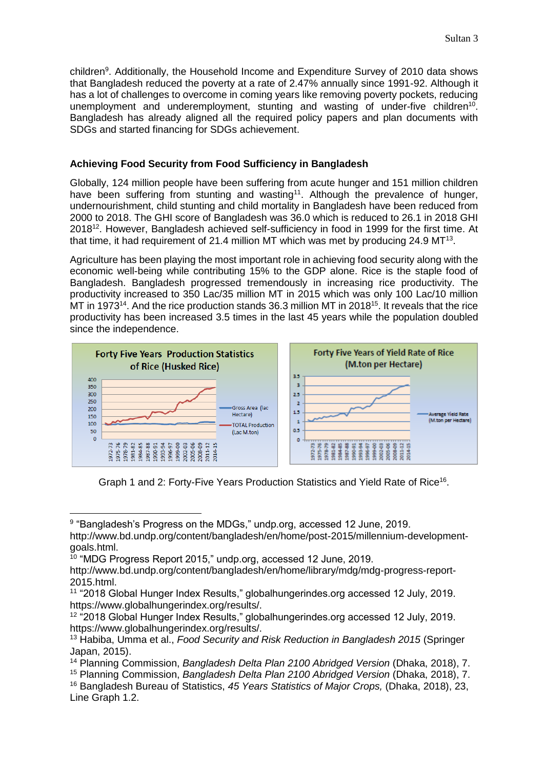children<sup>9</sup>. Additionally, the Household Income and Expenditure Survey of 2010 data shows that Bangladesh reduced the poverty at a rate of 2.47% annually since 1991-92. Although it has a lot of challenges to overcome in coming years like removing poverty pockets, reducing unemployment and underemployment, stunting and wasting of under-five children<sup>10</sup>. Bangladesh has already aligned all the required policy papers and plan documents with SDGs and started financing for SDGs achievement.

# **Achieving Food Security from Food Sufficiency in Bangladesh**

Globally, 124 million people have been suffering from acute hunger and 151 million children have been suffering from stunting and wasting<sup>11</sup>. Although the prevalence of hunger, undernourishment, child stunting and child mortality in Bangladesh have been reduced from 2000 to 2018. The GHI score of Bangladesh was 36.0 which is reduced to 26.1 in 2018 GHI 2018<sup>12</sup>. However, Bangladesh achieved self-sufficiency in food in 1999 for the first time. At that time, it had requirement of 21.4 million MT which was met by producing 24.9 MT<sup>13</sup>.

Agriculture has been playing the most important role in achieving food security along with the economic well-being while contributing 15% to the GDP alone. Rice is the staple food of Bangladesh. Bangladesh progressed tremendously in increasing rice productivity. The productivity increased to 350 Lac/35 million MT in 2015 which was only 100 Lac/10 million MT in 1973<sup>14</sup>. And the rice production stands 36.3 million MT in 2018<sup>15</sup>. It reveals that the rice productivity has been increased 3.5 times in the last 45 years while the population doubled since the independence.



Graph 1 and 2: Forty-Five Years Production Statistics and Yield Rate of Rice<sup>16</sup>.

<sup>&</sup>lt;sup>9</sup> "Bangladesh's Progress on the MDGs," undp.org, accessed 12 June, 2019. http://www.bd.undp.org/content/bangladesh/en/home/post-2015/millennium-developmentgoals.html.

<sup>&</sup>lt;sup>10</sup> "MDG Progress Report 2015," undp.org, accessed 12 June, 2019.

http://www.bd.undp.org/content/bangladesh/en/home/library/mdg/mdg-progress-report-2015.html.

<sup>11</sup> "2018 Global Hunger Index Results," globalhungerindes.org accessed 12 July, 2019. https://www.globalhungerindex.org/results/.

<sup>12</sup> "2018 Global Hunger Index Results," globalhungerindes.org accessed 12 July, 2019. https://www.globalhungerindex.org/results/.

<sup>13</sup> Habiba, Umma et al., *Food Security and Risk Reduction in Bangladesh 2015* (Springer Japan, 2015).

<sup>&</sup>lt;sup>14</sup> Planning Commission, *Bangladesh Delta Plan 2100 Abridged Version* (Dhaka, 2018), 7.

<sup>15</sup> Planning Commission, *Bangladesh Delta Plan 2100 Abridged Version* (Dhaka, 2018), 7.

<sup>16</sup> Bangladesh Bureau of Statistics, *45 Years Statistics of Major Crops,* (Dhaka, 2018), 23, Line Graph 1.2.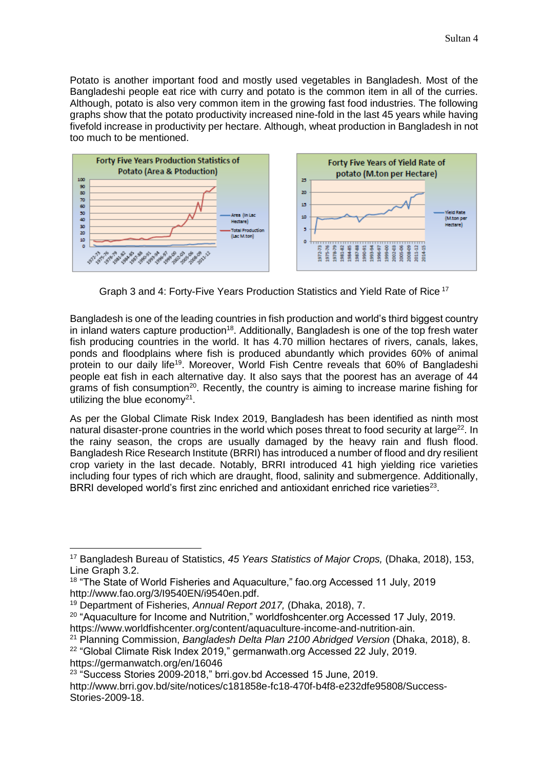Potato is another important food and mostly used vegetables in Bangladesh. Most of the Bangladeshi people eat rice with curry and potato is the common item in all of the curries. Although, potato is also very common item in the growing fast food industries. The following graphs show that the potato productivity increased nine-fold in the last 45 years while having fivefold increase in productivity per hectare. Although, wheat production in Bangladesh in not too much to be mentioned.



Graph 3 and 4: Forty-Five Years Production Statistics and Yield Rate of Rice <sup>17</sup>

Bangladesh is one of the leading countries in fish production and world's third biggest country in inland waters capture production<sup>18</sup>. Additionally, Bangladesh is one of the top fresh water fish producing countries in the world. It has 4.70 million hectares of rivers, canals, lakes, ponds and floodplains where fish is produced abundantly which provides 60% of animal protein to our daily life<sup>19</sup>. Moreover, World Fish Centre reveals that 60% of Bangladeshi people eat fish in each alternative day. It also says that the poorest has an average of 44 grams of fish consumption<sup>20</sup>. Recently, the country is aiming to increase marine fishing for utilizing the blue economy $21$ .

As per the Global Climate Risk Index 2019, Bangladesh has been identified as ninth most natural disaster-prone countries in the world which poses threat to food security at large<sup>22</sup>. In the rainy season, the crops are usually damaged by the heavy rain and flush flood. Bangladesh Rice Research Institute (BRRI) has introduced a number of flood and dry resilient crop variety in the last decade. Notably, BRRI introduced 41 high yielding rice varieties including four types of rich which are draught, flood, salinity and submergence. Additionally, BRRI developed world's first zinc enriched and antioxidant enriched rice varieties $^{23}$ .

 $\overline{\phantom{a}}$ 

<sup>20</sup> "Aquaculture for Income and Nutrition," worldfoshcenter.org Accessed 17 July, 2019. https://www.worldfishcenter.org/content/aquaculture-income-and-nutrition-ain.

<sup>17</sup> Bangladesh Bureau of Statistics, *45 Years Statistics of Major Crops,* (Dhaka, 2018), 153, Line Graph 3.2.

<sup>&</sup>lt;sup>18</sup> "The State of World Fisheries and Aquaculture," fao.org Accessed 11 July, 2019 [http://www.fao.org/3/I9540EN/i9540en.pdf.](http://www.fao.org/3/I9540EN/i9540en.pdf)

<sup>19</sup> Department of Fisheries, *Annual Report 2017,* (Dhaka, 2018), 7.

<sup>21</sup> Planning Commission, *Bangladesh Delta Plan 2100 Abridged Version* (Dhaka, 2018), 8.

<sup>&</sup>lt;sup>22</sup> "Global Climate Risk Index 2019," germanwath.org Accessed 22 July, 2019. https://germanwatch.org/en/16046

<sup>23</sup> "Success Stories 2009-2018," brri.gov.bd Accessed 15 June, 2019.

http://www.brri.gov.bd/site/notices/c181858e-fc18-470f-b4f8-e232dfe95808/Success-Stories-2009-18.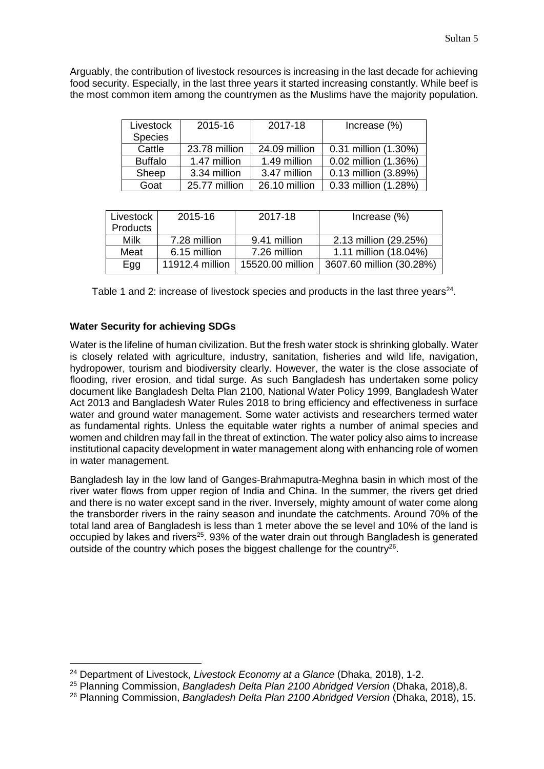Arguably, the contribution of livestock resources is increasing in the last decade for achieving food security. Especially, in the last three years it started increasing constantly. While beef is the most common item among the countrymen as the Muslims have the majority population.

| Livestock      | 2015-16       | 2017-18       | Increase (%)         |
|----------------|---------------|---------------|----------------------|
| <b>Species</b> |               |               |                      |
| Cattle         | 23.78 million | 24.09 million | 0.31 million (1.30%) |
| <b>Buffalo</b> | 1.47 million  | 1.49 million  | 0.02 million (1.36%) |
| Sheep          | 3.34 million  | 3.47 million  | 0.13 million (3.89%) |
| Goat           | 25.77 million | 26.10 million | 0.33 million (1.28%) |

| Livestock | 2015-16         | 2017-18          | Increase $(\%)$          |
|-----------|-----------------|------------------|--------------------------|
| Products  |                 |                  |                          |
| Milk      | 7.28 million    | 9.41 million     | 2.13 million (29.25%)    |
| Meat      | 6.15 million    | 7.26 million     | 1.11 million (18.04%)    |
| Egg       | 11912.4 million | 15520.00 million | 3607.60 million (30.28%) |

Table 1 and 2: increase of livestock species and products in the last three years $^{24}$ .

## **Water Security for achieving SDGs**

l

Water is the lifeline of human civilization. But the fresh water stock is shrinking globally. Water is closely related with agriculture, industry, sanitation, fisheries and wild life, navigation, hydropower, tourism and biodiversity clearly. However, the water is the close associate of flooding, river erosion, and tidal surge. As such Bangladesh has undertaken some policy document like Bangladesh Delta Plan 2100, National Water Policy 1999, Bangladesh Water Act 2013 and Bangladesh Water Rules 2018 to bring efficiency and effectiveness in surface water and ground water management. Some water activists and researchers termed water as fundamental rights. Unless the equitable water rights a number of animal species and women and children may fall in the threat of extinction. The water policy also aims to increase institutional capacity development in water management along with enhancing role of women in water management.

Bangladesh lay in the low land of Ganges-Brahmaputra-Meghna basin in which most of the river water flows from upper region of India and China. In the summer, the rivers get dried and there is no water except sand in the river. Inversely, mighty amount of water come along the transborder rivers in the rainy season and inundate the catchments. Around 70% of the total land area of Bangladesh is less than 1 meter above the se level and 10% of the land is occupied by lakes and rivers<sup>25</sup>. 93% of the water drain out through Bangladesh is generated outside of the country which poses the biggest challenge for the country<sup>26</sup>.

<sup>24</sup> Department of Livestock, *Livestock Economy at a Glance* (Dhaka, 2018), 1-2.

<sup>25</sup> Planning Commission, *Bangladesh Delta Plan 2100 Abridged Version* (Dhaka, 2018),8.

<sup>26</sup> Planning Commission, *Bangladesh Delta Plan 2100 Abridged Version* (Dhaka, 2018), 15.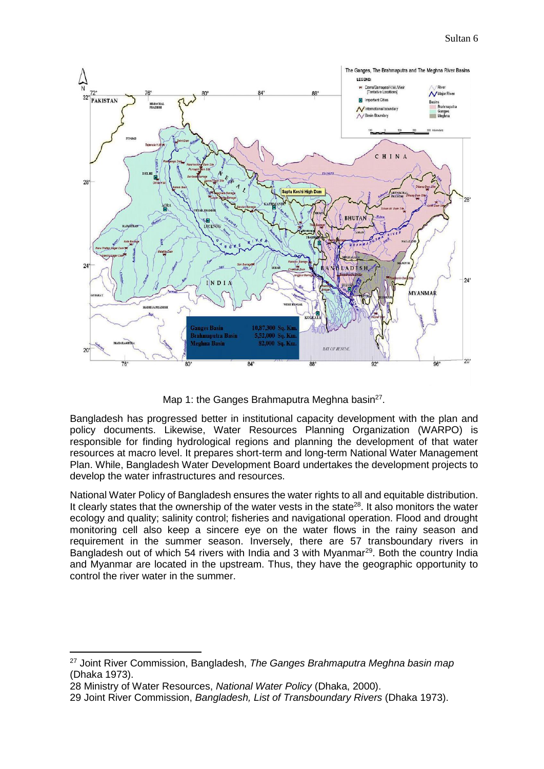

Map 1: the Ganges Brahmaputra Meghna basin $^{27}$ .

Bangladesh has progressed better in institutional capacity development with the plan and policy documents. Likewise, Water Resources Planning Organization (WARPO) is responsible for finding hydrological regions and planning the development of that water resources at macro level. It prepares short-term and long-term National Water Management Plan. While, Bangladesh Water Development Board undertakes the development projects to develop the water infrastructures and resources.

National Water Policy of Bangladesh ensures the water rights to all and equitable distribution. It clearly states that the ownership of the water vests in the state<sup>28</sup>. It also monitors the water ecology and quality; salinity control; fisheries and navigational operation. Flood and drought monitoring cell also keep a sincere eye on the water flows in the rainy season and requirement in the summer season. Inversely, there are 57 transboundary rivers in Bangladesh out of which 54 rivers with India and 3 with Myanmar<sup>29</sup>. Both the country India and Myanmar are located in the upstream. Thus, they have the geographic opportunity to control the river water in the summer.

<sup>27</sup> Joint River Commission, Bangladesh, *The Ganges Brahmaputra Meghna basin map* (Dhaka 1973).

<sup>28</sup> Ministry of Water Resources, *National Water Policy* (Dhaka, 2000).

<sup>29</sup> Joint River Commission, *Bangladesh, List of Transboundary Rivers* (Dhaka 1973).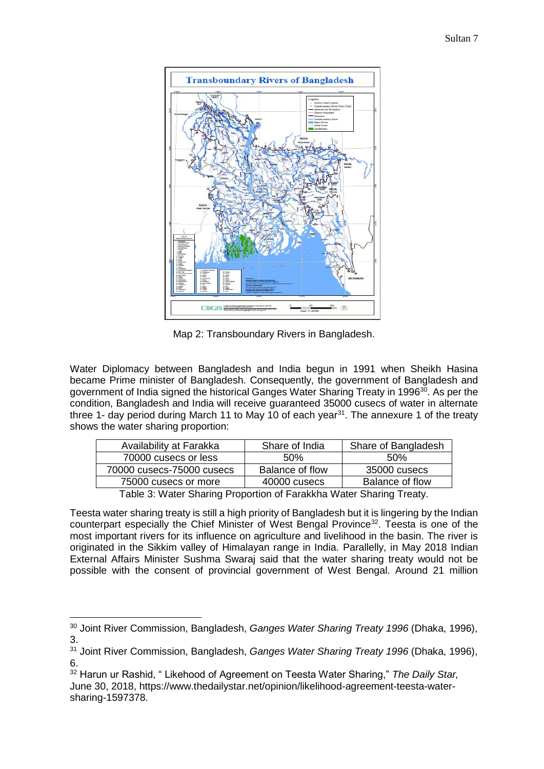

Map 2: Transboundary Rivers in Bangladesh.

Water Diplomacy between Bangladesh and India begun in 1991 when Sheikh Hasina became Prime minister of Bangladesh. Consequently, the government of Bangladesh and government of India signed the historical Ganges Water Sharing Treaty in 1996<sup>30</sup>. As per the condition, Bangladesh and India will receive guaranteed 35000 cusecs of water in alternate three 1- day period during March 11 to May 10 of each year $31$ . The annexure 1 of the treaty shows the water sharing proportion:

| Availability at Farakka                                             | Share of India  | Share of Bangladesh |  |  |
|---------------------------------------------------------------------|-----------------|---------------------|--|--|
| 70000 cusecs or less                                                | .50%            | .50%                |  |  |
| 70000 cusecs-75000 cusecs                                           | Balance of flow | 35000 cusecs        |  |  |
| Balance of flow<br>40000 cusecs<br>75000 cusecs or more             |                 |                     |  |  |
| Table 3: Water Sharing Proportion of Farakkha Water Sharing Treaty. |                 |                     |  |  |

Teesta water sharing treaty is still a high priority of Bangladesh but it is lingering by the Indian counterpart especially the Chief Minister of West Bengal Province<sup>32</sup>. Teesta is one of the most important rivers for its influence on agriculture and livelihood in the basin. The river is originated in the Sikkim valley of Himalayan range in India. Parallelly, in May 2018 Indian External Affairs Minister Sushma Swaraj said that the water sharing treaty would not be possible with the consent of provincial government of West Bengal. Around 21 million

l

<sup>30</sup> Joint River Commission, Bangladesh, *Ganges Water Sharing Treaty 1996* (Dhaka, 1996), 3.

<sup>31</sup> Joint River Commission, Bangladesh, *Ganges Water Sharing Treaty 1996* (Dhaka, 1996), 6.

<sup>32</sup> Harun ur Rashid, " Likehood of Agreement on Teesta Water Sharing," *The Daily Star,*  June 30, 2018, https://www.thedailystar.net/opinion/likelihood-agreement-teesta-watersharing-1597378.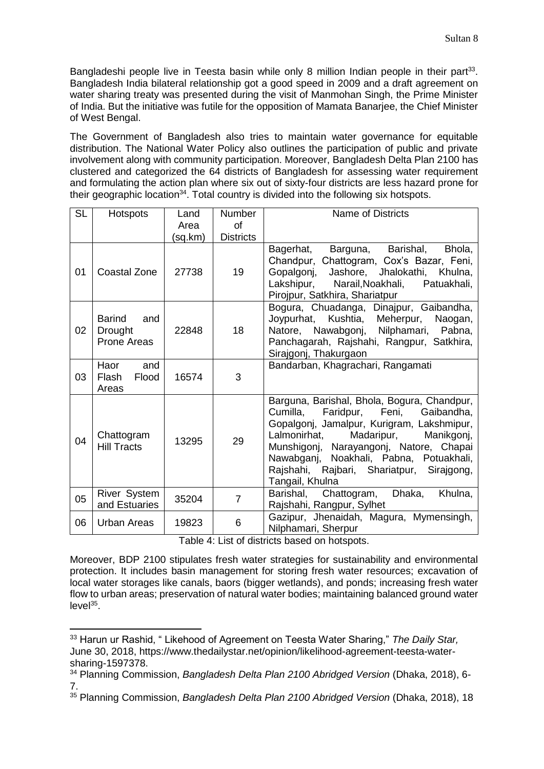Bangladeshi people live in Teesta basin while only 8 million Indian people in their part<sup>33</sup>. Bangladesh India bilateral relationship got a good speed in 2009 and a draft agreement on water sharing treaty was presented during the visit of Manmohan Singh, the Prime Minister of India. But the initiative was futile for the opposition of Mamata Banarjee, the Chief Minister of West Bengal.

The Government of Bangladesh also tries to maintain water governance for equitable distribution. The National Water Policy also outlines the participation of public and private involvement along with community participation. Moreover, Bangladesh Delta Plan 2100 has clustered and categorized the 64 districts of Bangladesh for assessing water requirement and formulating the action plan where six out of sixty-four districts are less hazard prone for their geographic location<sup>34</sup>. Total country is divided into the following six hotspots.

| <b>SL</b> | <b>Hotspots</b>                                | Land    | <b>Number</b>    | <b>Name of Districts</b>                                                                                                                                                                                                                                                                                                           |
|-----------|------------------------------------------------|---------|------------------|------------------------------------------------------------------------------------------------------------------------------------------------------------------------------------------------------------------------------------------------------------------------------------------------------------------------------------|
|           |                                                | Area    | Ωf               |                                                                                                                                                                                                                                                                                                                                    |
|           |                                                | (sq.km) | <b>Districts</b> |                                                                                                                                                                                                                                                                                                                                    |
| 01        | Coastal Zone                                   | 27738   | 19               | Bagerhat, Barguna, Barishal,<br>Bhola,<br>Chandpur, Chattogram, Cox's Bazar, Feni,<br>Jashore, Jhalokathi, Khulna,<br>Gopalgonj,<br>Lakshipur, Narail, Noakhali, Patuakhali,<br>Pirojpur, Satkhira, Shariatpur                                                                                                                     |
| 02        | Barind<br>and<br><b>Drought</b><br>Prone Areas | 22848   | 18               | Bogura, Chuadanga, Dinajpur, Gaibandha,<br>Joypurhat, Kushtia, Meherpur, Naogan,<br>Nawabgonj, Nilphamari, Pabna,<br>Natore,<br>Panchagarah, Rajshahi, Rangpur, Satkhira,<br>Sirajgonj, Thakurgaon                                                                                                                                 |
| 03        | Haor<br>and<br>Flash<br>Flood<br>Areas         | 16574   | 3                | Bandarban, Khagrachari, Rangamati                                                                                                                                                                                                                                                                                                  |
| 04        | Chattogram<br><b>Hill Tracts</b>               | 13295   | 29               | Barguna, Barishal, Bhola, Bogura, Chandpur,<br>Cumilla, Faridpur, Feni, Gaibandha,<br>Gopalgonj, Jamalpur, Kurigram, Lakshmipur,<br>Lalmonirhat,<br>Madaripur,<br>Manikgonj,<br>Munshigonj, Narayangonj, Natore, Chapai<br>Nawabganj, Noakhali, Pabna, Potuakhali,<br>Rajshahi, Rajbari, Shariatpur, Sirajgong,<br>Tangail, Khulna |
| 05        | River System<br>and Estuaries                  | 35204   | $\overline{7}$   | Barishal, Chattogram, Dhaka,<br>Khulna,<br>Rajshahi, Rangpur, Sylhet                                                                                                                                                                                                                                                               |
| 06        | Urban Areas                                    | 19823   | 6                | Gazipur, Jhenaidah, Magura, Mymensingh,<br>Nilphamari, Sherpur                                                                                                                                                                                                                                                                     |

Table 4: List of districts based on hotspots.

Moreover, BDP 2100 stipulates fresh water strategies for sustainability and environmental protection. It includes basin management for storing fresh water resources; excavation of local water storages like canals, baors (bigger wetlands), and ponds; increasing fresh water flow to urban areas; preservation of natural water bodies; maintaining balanced ground water level<sup>35</sup>.

<sup>33</sup> Harun ur Rashid, " Likehood of Agreement on Teesta Water Sharing," *The Daily Star,*  June 30, 2018, https://www.thedailystar.net/opinion/likelihood-agreement-teesta-watersharing-1597378.

<sup>34</sup> Planning Commission, *Bangladesh Delta Plan 2100 Abridged Version* (Dhaka, 2018), 6- 7.

<sup>&</sup>lt;sup>35</sup> Planning Commission, *Bangladesh Delta Plan 2100 Abridged Version* (Dhaka, 2018), 18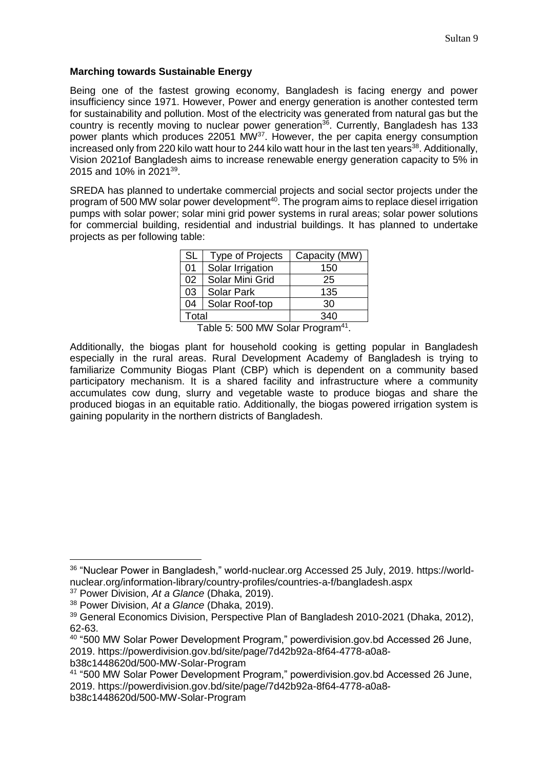## **Marching towards Sustainable Energy**

Being one of the fastest growing economy, Bangladesh is facing energy and power insufficiency since 1971. However, Power and energy generation is another contested term for sustainability and pollution. Most of the electricity was generated from natural gas but the country is recently moving to nuclear power generation<sup>36</sup>. Currently, Bangladesh has 133 power plants which produces 22051 MW<sup>37</sup>. However, the per capita energy consumption increased only from 220 kilo watt hour to 244 kilo watt hour in the last ten years<sup>38</sup>. Additionally, Vision 2021of Bangladesh aims to increase renewable energy generation capacity to 5% in 2015 and 10% in 2021<sup>39</sup>.

SREDA has planned to undertake commercial projects and social sector projects under the program of 500 MW solar power development<sup>40</sup>. The program aims to replace diesel irrigation pumps with solar power; solar mini grid power systems in rural areas; solar power solutions for commercial building, residential and industrial buildings. It has planned to undertake projects as per following table:

| <b>SL</b> | <b>Type of Projects</b> | Capacity (MW) |
|-----------|-------------------------|---------------|
| 01        | Solar Irrigation        | 150           |
| 02        | Solar Mini Grid         | 25            |
| 03        | <b>Solar Park</b>       | 135           |
| 04        | Solar Roof-top          | 30            |
| Total     |                         | 340           |

Table 5: 500 MW Solar Program<sup>41</sup>.

Additionally, the biogas plant for household cooking is getting popular in Bangladesh especially in the rural areas. Rural Development Academy of Bangladesh is trying to familiarize Community Biogas Plant (CBP) which is dependent on a community based participatory mechanism. It is a shared facility and infrastructure where a community accumulates cow dung, slurry and vegetable waste to produce biogas and share the produced biogas in an equitable ratio. Additionally, the biogas powered irrigation system is gaining popularity in the northern districts of Bangladesh.

 $\overline{\phantom{a}}$ 

b38c1448620d/500-MW-Solar-Program

<sup>36</sup> "Nuclear Power in Bangladesh," world-nuclear.org Accessed 25 July, 2019. https://worldnuclear.org/information-library/country-profiles/countries-a-f/bangladesh.aspx

<sup>37</sup> Power Division, *At a Glance* (Dhaka, 2019).

<sup>38</sup> Power Division, *At a Glance* (Dhaka, 2019).

<sup>39</sup> General Economics Division, Perspective Plan of Bangladesh 2010-2021 (Dhaka, 2012), 62-63.

<sup>40</sup> "500 MW Solar Power Development Program," powerdivision.gov.bd Accessed 26 June, 2019. https://powerdivision.gov.bd/site/page/7d42b92a-8f64-4778-a0a8-

<sup>41</sup> "500 MW Solar Power Development Program," powerdivision.gov.bd Accessed 26 June, 2019. https://powerdivision.gov.bd/site/page/7d42b92a-8f64-4778-a0a8 b38c1448620d/500-MW-Solar-Program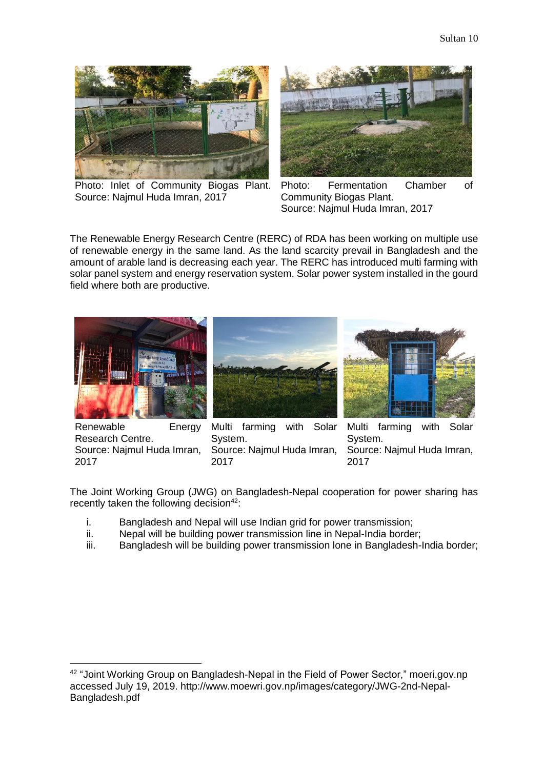

Photo: Inlet of Community Biogas Plant. Source: Najmul Huda Imran, 2017



Photo: Fermentation Chamber of Community Biogas Plant. Source: Najmul Huda Imran, 2017

The Renewable Energy Research Centre (RERC) of RDA has been working on multiple use of renewable energy in the same land. As the land scarcity prevail in Bangladesh and the amount of arable land is decreasing each year. The RERC has introduced multi farming with solar panel system and energy reservation system. Solar power system installed in the gourd field where both are productive.







Renewable Energy Research Centre. Source: Najmul Huda Imran, 2017

l

Multi farming with Solar System. Source: Najmul Huda Imran, 2017

Multi farming with Solar System. Source: Najmul Huda Imran, 2017

The Joint Working Group (JWG) on Bangladesh-Nepal cooperation for power sharing has recently taken the following decision $42$ :

- i. Bangladesh and Nepal will use Indian grid for power transmission;
- ii. Nepal will be building power transmission line in Nepal-India border;
- iii. Bangladesh will be building power transmission lone in Bangladesh-India border;

<sup>42</sup> "Joint Working Group on Bangladesh-Nepal in the Field of Power Sector," moeri.gov.np accessed July 19, 2019. http://www.moewri.gov.np/images/category/JWG-2nd-Nepal-Bangladesh.pdf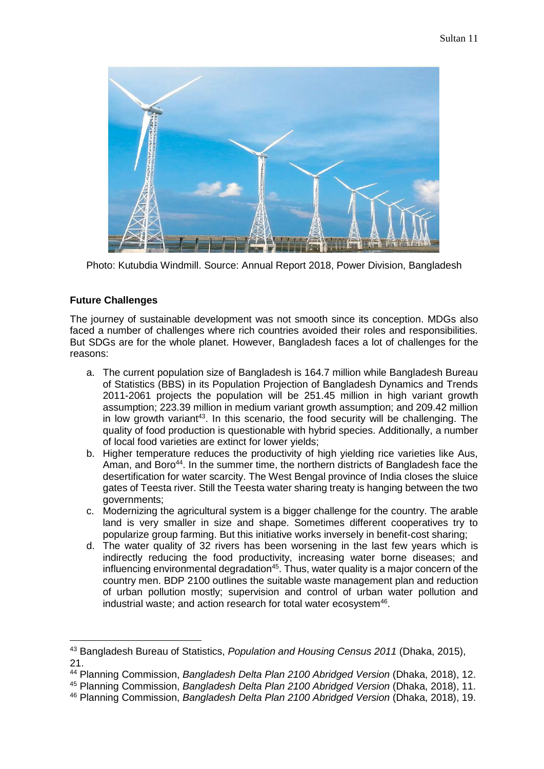

Photo: Kutubdia Windmill. Source: Annual Report 2018, Power Division, Bangladesh

# **Future Challenges**

 $\overline{\phantom{a}}$ 

The journey of sustainable development was not smooth since its conception. MDGs also faced a number of challenges where rich countries avoided their roles and responsibilities. But SDGs are for the whole planet. However, Bangladesh faces a lot of challenges for the reasons:

- a. The current population size of Bangladesh is 164.7 million while Bangladesh Bureau of Statistics (BBS) in its Population Projection of Bangladesh Dynamics and Trends 2011-2061 projects the population will be 251.45 million in high variant growth assumption; 223.39 million in medium variant growth assumption; and 209.42 million in low growth variant<sup>43</sup>. In this scenario, the food security will be challenging. The quality of food production is questionable with hybrid species. Additionally, a number of local food varieties are extinct for lower yields;
- b. Higher temperature reduces the productivity of high yielding rice varieties like Aus, Aman, and Boro<sup>44</sup>. In the summer time, the northern districts of Bangladesh face the desertification for water scarcity. The West Bengal province of India closes the sluice gates of Teesta river. Still the Teesta water sharing treaty is hanging between the two governments;
- c. Modernizing the agricultural system is a bigger challenge for the country. The arable land is very smaller in size and shape. Sometimes different cooperatives try to popularize group farming. But this initiative works inversely in benefit-cost sharing;
- d. The water quality of 32 rivers has been worsening in the last few years which is indirectly reducing the food productivity, increasing water borne diseases; and influencing environmental degradation<sup>45</sup>. Thus, water quality is a major concern of the country men. BDP 2100 outlines the suitable waste management plan and reduction of urban pollution mostly; supervision and control of urban water pollution and industrial waste; and action research for total water ecosystem<sup>46</sup>.

<sup>43</sup> Bangladesh Bureau of Statistics, *Population and Housing Census 2011* (Dhaka, 2015), 21.

<sup>44</sup> Planning Commission, *Bangladesh Delta Plan 2100 Abridged Version* (Dhaka, 2018), 12.

<sup>45</sup> Planning Commission, *Bangladesh Delta Plan 2100 Abridged Version* (Dhaka, 2018), 11.

<sup>46</sup> Planning Commission, *Bangladesh Delta Plan 2100 Abridged Version* (Dhaka, 2018), 19.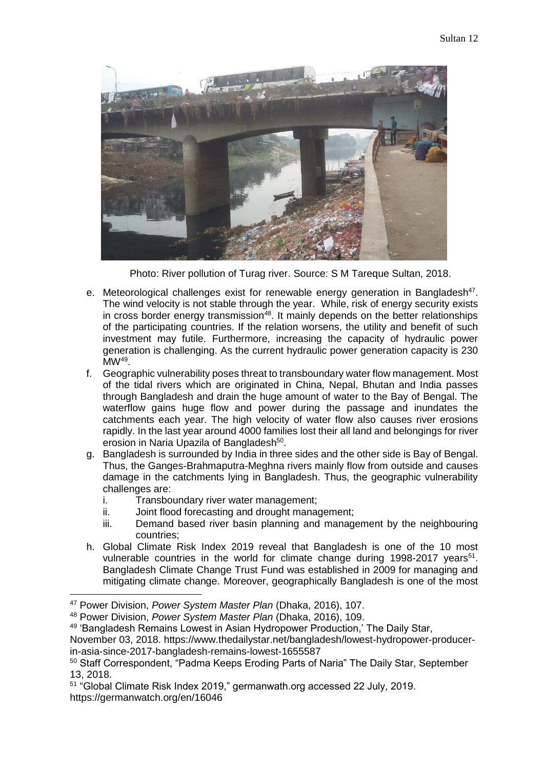

Photo: River pollution of Turag river. Source: S M Tareque Sultan, 2018.

- e. Meteorological challenges exist for renewable energy generation in Bangladesh<sup>47</sup>. The wind velocity is not stable through the year. While, risk of energy security exists in cross border energy transmission<sup>48</sup>. It mainly depends on the better relationships of the participating countries. If the relation worsens, the utility and benefit of such investment may futile. Furthermore, increasing the capacity of hydraulic power generation is challenging. As the current hydraulic power generation capacity is 230  $\mathsf{MW}^{49}.$
- f. Geographic vulnerability poses threat to transboundary water flow management. Most of the tidal rivers which are originated in China, Nepal, Bhutan and India passes through Bangladesh and drain the huge amount of water to the Bay of Bengal. The waterflow gains huge flow and power during the passage and inundates the catchments each year. The high velocity of water flow also causes river erosions rapidly. In the last year around 4000 families lost their all land and belongings for river erosion in Naria Upazila of Bangladesh<sup>50</sup>.
- g. Bangladesh is surrounded by India in three sides and the other side is Bay of Bengal. Thus, the Ganges-Brahmaputra-Meghna rivers mainly flow from outside and causes damage in the catchments lying in Bangladesh. Thus, the geographic vulnerability challenges are:
	- i. Transboundary river water management;
	- ii. Joint flood forecasting and drought management;
	- iii. Demand based river basin planning and management by the neighbouring countries;
- h. Global Climate Risk Index 2019 reveal that Bangladesh is one of the 10 most vulnerable countries in the world for climate change during 1998-2017 years<sup>51</sup>. Bangladesh Climate Change Trust Fund was established in 2009 for managing and mitigating climate change. Moreover, geographically Bangladesh is one of the most

<sup>47</sup> Power Division, *Power System Master Plan* (Dhaka, 2016), 107.

<sup>48</sup> Power Division, *Power System Master Plan* (Dhaka, 2016), 109.

<sup>49</sup> 'Bangladesh Remains Lowest in Asian Hydropower Production,' The Daily Star,

November 03, 2018. https://www.thedailystar.net/bangladesh/lowest-hydropower-producerin-asia-since-2017-bangladesh-remains-lowest-1655587

<sup>50</sup> Staff Correspondent, "Padma Keeps Eroding Parts of Naria" The Daily Star, September 13, 2018.

<sup>51</sup> "Global Climate Risk Index 2019," germanwath.org accessed 22 July, 2019. https://germanwatch.org/en/16046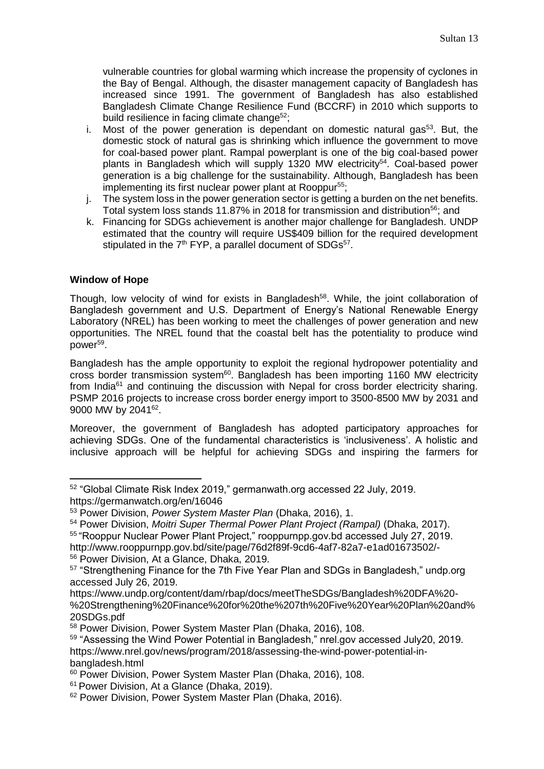vulnerable countries for global warming which increase the propensity of cyclones in the Bay of Bengal. Although, the disaster management capacity of Bangladesh has increased since 1991. The government of Bangladesh has also established Bangladesh Climate Change Resilience Fund (BCCRF) in 2010 which supports to build resilience in facing climate change<sup>52</sup>;

- i. Most of the power generation is dependant on domestic natural gas $53$ . But, the domestic stock of natural gas is shrinking which influence the government to move for coal-based power plant. Rampal powerplant is one of the big coal-based power plants in Bangladesh which will supply 1320 MW electricity<sup>54</sup>. Coal-based power generation is a big challenge for the sustainability. Although, Bangladesh has been implementing its first nuclear power plant at Rooppur<sup>55</sup>;
- j. The system loss in the power generation sector is getting a burden on the net benefits. Total system loss stands 11.87% in 2018 for transmission and distribution<sup>56</sup>; and
- k. Financing for SDGs achievement is another major challenge for Bangladesh. UNDP estimated that the country will require US\$409 billion for the required development stipulated in the  $7<sup>th</sup>$  FYP, a parallel document of SDGs $<sup>57</sup>$ .</sup>

# **Window of Hope**

Though, low velocity of wind for exists in Bangladesh<sup>58</sup>. While, the joint collaboration of Bangladesh government and U.S. Department of Energy's National Renewable Energy Laboratory (NREL) has been working to meet the challenges of power generation and new opportunities. The NREL found that the coastal belt has the potentiality to produce wind power<sup>59</sup>.

Bangladesh has the ample opportunity to exploit the regional hydropower potentiality and cross border transmission system<sup>60</sup>. Bangladesh has been importing 1160 MW electricity from India<sup>61</sup> and continuing the discussion with Nepal for cross border electricity sharing. PSMP 2016 projects to increase cross border energy import to 3500-8500 MW by 2031 and 9000 MW by 2041<sup>62</sup>.

Moreover, the government of Bangladesh has adopted participatory approaches for achieving SDGs. One of the fundamental characteristics is 'inclusiveness'. A holistic and inclusive approach will be helpful for achieving SDGs and inspiring the farmers for

<sup>54</sup> Power Division, *Moitri Super Thermal Power Plant Project (Rampal)* (Dhaka, 2017).

 $\overline{a}$ <sup>52</sup> "Global Climate Risk Index 2019," germanwath.org accessed 22 July, 2019. https://germanwatch.org/en/16046

<sup>53</sup> Power Division, *Power System Master Plan* (Dhaka, 2016), 1.

<sup>55</sup> "Rooppur Nuclear Power Plant Project," rooppurnpp.gov.bd accessed July 27, 2019.

http://www.rooppurnpp.gov.bd/site/page/76d2f89f-9cd6-4af7-82a7-e1ad01673502/- <sup>56</sup> Power Division, At a Glance, Dhaka, 2019.

<sup>&</sup>lt;sup>57</sup> "Strengthening Finance for the 7th Five Year Plan and SDGs in Bangladesh," undp.org accessed July 26, 2019.

https://www.undp.org/content/dam/rbap/docs/meetTheSDGs/Bangladesh%20DFA%20- %20Strengthening%20Finance%20for%20the%207th%20Five%20Year%20Plan%20and% 20SDGs.pdf

<sup>58</sup> Power Division, Power System Master Plan (Dhaka, 2016), 108.

<sup>59</sup> "Assessing the Wind Power Potential in Bangladesh," nrel.gov accessed July20, 2019. https://www.nrel.gov/news/program/2018/assessing-the-wind-power-potential-inbangladesh.html

<sup>60</sup> Power Division, Power System Master Plan (Dhaka, 2016), 108.

<sup>61</sup> Power Division, At a Glance (Dhaka, 2019).

<sup>&</sup>lt;sup>62</sup> Power Division, Power System Master Plan (Dhaka, 2016).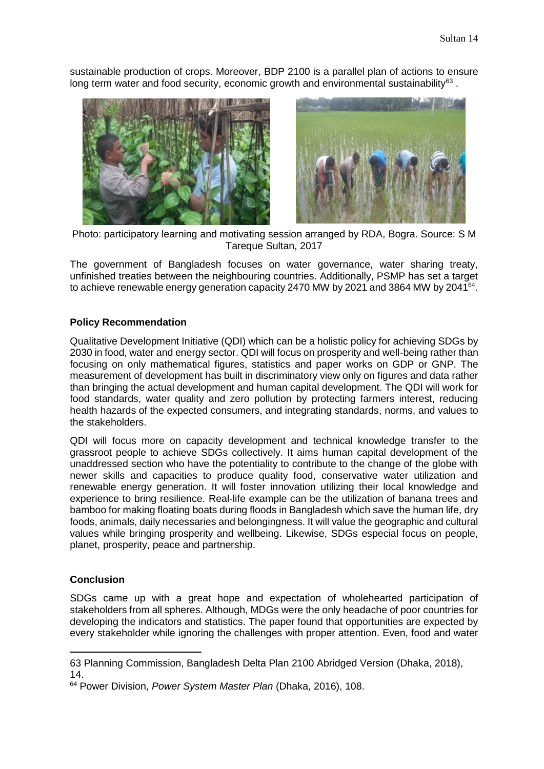sustainable production of crops. Moreover, BDP 2100 is a parallel plan of actions to ensure long term water and food security, economic growth and environmental sustainability $^{63}$ .





Photo: participatory learning and motivating session arranged by RDA, Bogra. Source: S M Tareque Sultan, 2017

The government of Bangladesh focuses on water governance, water sharing treaty, unfinished treaties between the neighbouring countries. Additionally, PSMP has set a target to achieve renewable energy generation capacity 2470 MW by 2021 and 3864 MW by 2041<sup>64</sup>.

## **Policy Recommendation**

Qualitative Development Initiative (QDI) which can be a holistic policy for achieving SDGs by 2030 in food, water and energy sector. QDI will focus on prosperity and well-being rather than focusing on only mathematical figures, statistics and paper works on GDP or GNP. The measurement of development has built in discriminatory view only on figures and data rather than bringing the actual development and human capital development. The QDI will work for food standards, water quality and zero pollution by protecting farmers interest, reducing health hazards of the expected consumers, and integrating standards, norms, and values to the stakeholders.

QDI will focus more on capacity development and technical knowledge transfer to the grassroot people to achieve SDGs collectively. It aims human capital development of the unaddressed section who have the potentiality to contribute to the change of the globe with newer skills and capacities to produce quality food, conservative water utilization and renewable energy generation. It will foster innovation utilizing their local knowledge and experience to bring resilience. Real-life example can be the utilization of banana trees and bamboo for making floating boats during floods in Bangladesh which save the human life, dry foods, animals, daily necessaries and belongingness. It will value the geographic and cultural values while bringing prosperity and wellbeing. Likewise, SDGs especial focus on people, planet, prosperity, peace and partnership.

## **Conclusion**

 $\overline{\phantom{a}}$ 

SDGs came up with a great hope and expectation of wholehearted participation of stakeholders from all spheres. Although, MDGs were the only headache of poor countries for developing the indicators and statistics. The paper found that opportunities are expected by every stakeholder while ignoring the challenges with proper attention. Even, food and water

<sup>63</sup> Planning Commission, Bangladesh Delta Plan 2100 Abridged Version (Dhaka, 2018), 14.

<sup>64</sup> Power Division, *Power System Master Plan* (Dhaka, 2016), 108.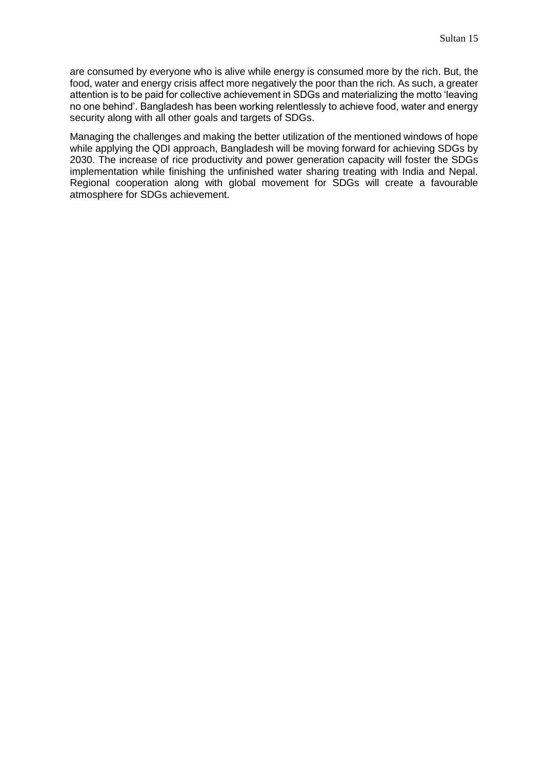are consumed by everyone who is alive while energy is consumed more by the rich. But, the food, water and energy crisis affect more negatively the poor than the rich. As such, a greater attention is to be paid for collective achievement in SDGs and materializing the motto 'leaving no one behind'. Bangladesh has been working relentlessly to achieve food, water and energy security along with all other goals and targets of SDGs.

Managing the challenges and making the better utilization of the mentioned windows of hope while applying the QDI approach, Bangladesh will be moving forward for achieving SDGs by 2030. The increase of rice productivity and power generation capacity will foster the SDGs implementation while finishing the unfinished water sharing treating with India and Nepal. Regional cooperation along with global movement for SDGs will create a favourable atmosphere for SDGs achievement.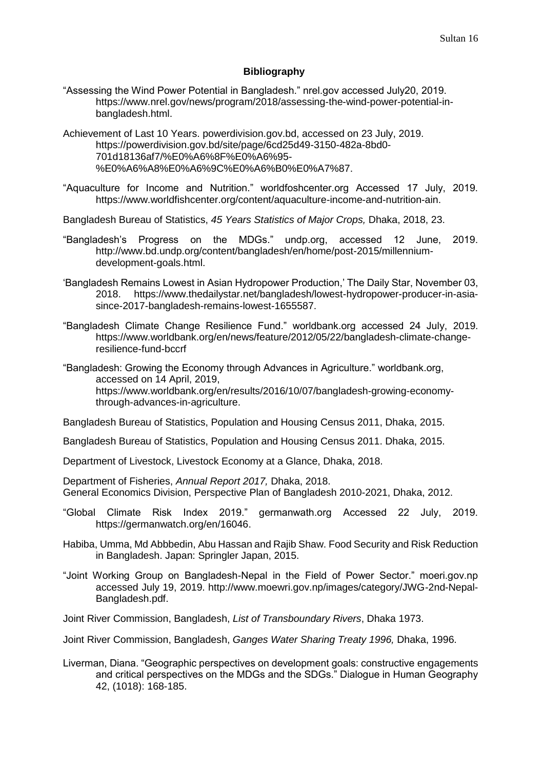#### **Bibliography**

- "Assessing the Wind Power Potential in Bangladesh." nrel.gov accessed July20, 2019. https://www.nrel.gov/news/program/2018/assessing-the-wind-power-potential-inbangladesh.html.
- Achievement of Last 10 Years. powerdivision.gov.bd, accessed on 23 July, 2019. https://powerdivision.gov.bd/site/page/6cd25d49-3150-482a-8bd0- 701d18136af7/%E0%A6%8F%E0%A6%95- %E0%A6%A8%E0%A6%9C%E0%A6%B0%E0%A7%87.
- "Aquaculture for Income and Nutrition." worldfoshcenter.org Accessed 17 July, 2019. https://www.worldfishcenter.org/content/aquaculture-income-and-nutrition-ain.
- Bangladesh Bureau of Statistics, *45 Years Statistics of Major Crops,* Dhaka, 2018, 23.
- "Bangladesh's Progress on the MDGs." undp.org, accessed 12 June, 2019. http://www.bd.undp.org/content/bangladesh/en/home/post-2015/millenniumdevelopment-goals.html.
- 'Bangladesh Remains Lowest in Asian Hydropower Production,' The Daily Star, November 03, 2018. https://www.thedailystar.net/bangladesh/lowest-hydropower-producer-in-asiasince-2017-bangladesh-remains-lowest-1655587.
- "Bangladesh Climate Change Resilience Fund." worldbank.org accessed 24 July, 2019. https://www.worldbank.org/en/news/feature/2012/05/22/bangladesh-climate-changeresilience-fund-bccrf
- "Bangladesh: Growing the Economy through Advances in Agriculture." worldbank.org, accessed on 14 April, 2019, https://www.worldbank.org/en/results/2016/10/07/bangladesh-growing-economythrough-advances-in-agriculture.

Bangladesh Bureau of Statistics, Population and Housing Census 2011, Dhaka, 2015.

- Bangladesh Bureau of Statistics, Population and Housing Census 2011. Dhaka, 2015.
- Department of Livestock, Livestock Economy at a Glance, Dhaka, 2018.
- Department of Fisheries, *Annual Report 2017,* Dhaka, 2018. General Economics Division, Perspective Plan of Bangladesh 2010-2021, Dhaka, 2012.
- "Global Climate Risk Index 2019." germanwath.org Accessed 22 July, 2019. [https://germanwatch.org/en/16046.](https://germanwatch.org/en/16046)
- Habiba, Umma, Md Abbbedin, Abu Hassan and Rajib Shaw. Food Security and Risk Reduction in Bangladesh. Japan: Springler Japan, 2015.
- "Joint Working Group on Bangladesh-Nepal in the Field of Power Sector." moeri.gov.np accessed July 19, 2019. http://www.moewri.gov.np/images/category/JWG-2nd-Nepal-Bangladesh.pdf.
- Joint River Commission, Bangladesh, *List of Transboundary Rivers*, Dhaka 1973.
- Joint River Commission, Bangladesh, *Ganges Water Sharing Treaty 1996,* Dhaka, 1996.
- Liverman, Diana. "Geographic perspectives on development goals: constructive engagements and critical perspectives on the MDGs and the SDGs." Dialogue in Human Geography 42, (1018): 168-185.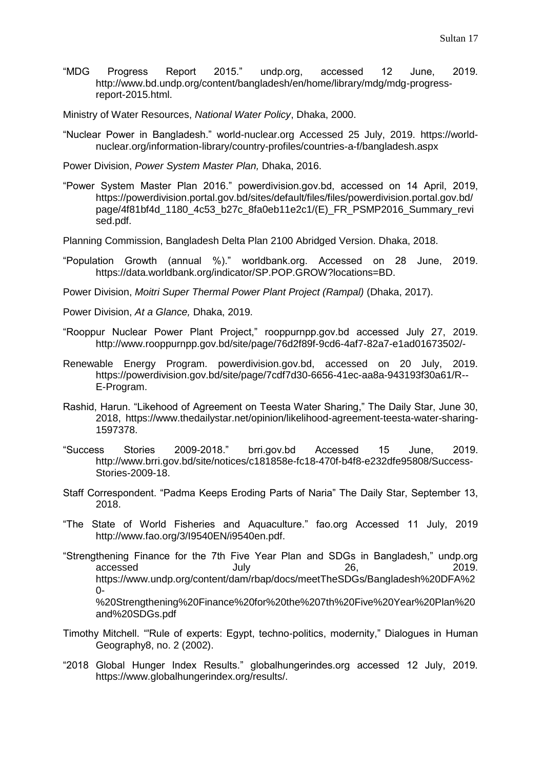"MDG Progress Report 2015." undp.org, accessed 12 June, 2019. http://www.bd.undp.org/content/bangladesh/en/home/library/mdg/mdg-progressreport-2015.html.

Ministry of Water Resources, *National Water Policy*, Dhaka, 2000.

"Nuclear Power in Bangladesh." world-nuclear.org Accessed 25 July, 2019. https://worldnuclear.org/information-library/country-profiles/countries-a-f/bangladesh.aspx

Power Division, *Power System Master Plan,* Dhaka, 2016.

"Power System Master Plan 2016." powerdivision.gov.bd, accessed on 14 April, 2019, [https://powerdivision.portal.gov.bd/sites/default/files/files/powerdivision.portal.gov.bd/](https://powerdivision.portal.gov.bd/sites/default/files/files/powerdivision.portal.gov.bd/page/4f81bf4d_1180_4c53_b27c_8fa0eb11e2c1/(E)_FR_PSMP2016_Summary_revised.pdf) [page/4f81bf4d\\_1180\\_4c53\\_b27c\\_8fa0eb11e2c1/\(E\)\\_FR\\_PSMP2016\\_Summary\\_revi](https://powerdivision.portal.gov.bd/sites/default/files/files/powerdivision.portal.gov.bd/page/4f81bf4d_1180_4c53_b27c_8fa0eb11e2c1/(E)_FR_PSMP2016_Summary_revised.pdf) [sed.pdf.](https://powerdivision.portal.gov.bd/sites/default/files/files/powerdivision.portal.gov.bd/page/4f81bf4d_1180_4c53_b27c_8fa0eb11e2c1/(E)_FR_PSMP2016_Summary_revised.pdf)

Planning Commission, Bangladesh Delta Plan 2100 Abridged Version. Dhaka, 2018.

"Population Growth (annual %)." worldbank.org. Accessed on 28 June, 2019. https://data.worldbank.org/indicator/SP.POP.GROW?locations=BD.

Power Division, *Moitri Super Thermal Power Plant Project (Rampal)* (Dhaka, 2017).

Power Division, *At a Glance,* Dhaka, 2019.

- "Rooppur Nuclear Power Plant Project," rooppurnpp.gov.bd accessed July 27, 2019. http://www.rooppurnpp.gov.bd/site/page/76d2f89f-9cd6-4af7-82a7-e1ad01673502/-
- Renewable Energy Program. powerdivision.gov.bd, accessed on 20 July, 2019. https://powerdivision.gov.bd/site/page/7cdf7d30-6656-41ec-aa8a-943193f30a61/R-- E-Program.
- Rashid, Harun. "Likehood of Agreement on Teesta Water Sharing," The Daily Star, June 30, 2018, https://www.thedailystar.net/opinion/likelihood-agreement-teesta-water-sharing-1597378.
- "Success Stories 2009-2018." brri.gov.bd Accessed 15 June, 2019. http://www.brri.gov.bd/site/notices/c181858e-fc18-470f-b4f8-e232dfe95808/Success-Stories-2009-18.
- Staff Correspondent. "Padma Keeps Eroding Parts of Naria" The Daily Star, September 13, 2018.
- "The State of World Fisheries and Aquaculture." fao.org Accessed 11 July, 2019 [http://www.fao.org/3/I9540EN/i9540en.pdf.](http://www.fao.org/3/I9540EN/i9540en.pdf)
- "Strengthening Finance for the 7th Five Year Plan and SDGs in Bangladesh," undp.org accessed July 26, 2019. https://www.undp.org/content/dam/rbap/docs/meetTheSDGs/Bangladesh%20DFA%2 0- %20Strengthening%20Finance%20for%20the%207th%20Five%20Year%20Plan%20 and%20SDGs.pdf
- Timothy Mitchell. "'Rule of experts: Egypt, techno-politics, modernity," Dialogues in Human Geography8, no. 2 (2002).
- "2018 Global Hunger Index Results." globalhungerindes.org accessed 12 July, 2019. https://www.globalhungerindex.org/results/.